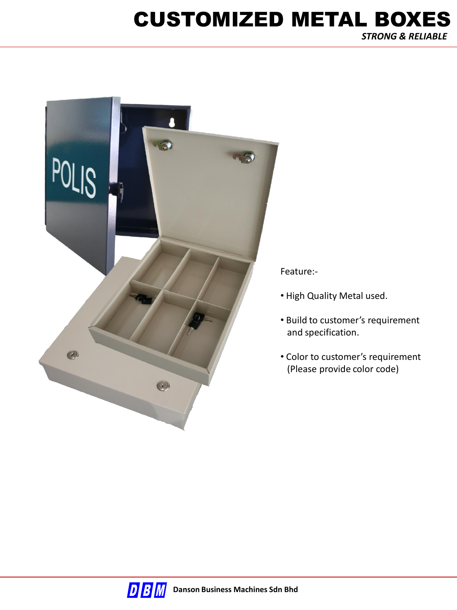# CUSTOMIZED METAL BOXES

*STRONG & RELIABLE* 



Feature:-

- High Quality Metal used.
- Build to customer's requirement and specification.
- Color to customer's requirement (Please provide color code)

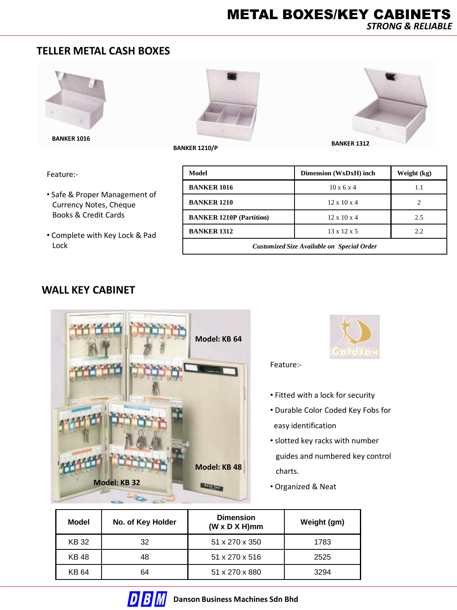#### **TELLER METAL CASH BOXES**



**BANKER 1016**



**BANKER 1210/P BANKER 1312** 

Feature:-

- Safe & Proper Management of Currency Notes, Cheque Books & Credit Cards
- Complete with Key Lock & Pad Lock

| Model                                      | Dimension (WxDxH) inch  | Weight (kg) |  |  |
|--------------------------------------------|-------------------------|-------------|--|--|
| <b>BANKER 1016</b>                         | $10 \times 6 \times 4$  | 1.1         |  |  |
| <b>BANKER 1210</b>                         | $12 \times 10 \times 4$ |             |  |  |
| <b>BANKER 1210P (Partition)</b>            | $12 \times 10 \times 4$ | 2.5         |  |  |
| <b>BANKER 1312</b>                         | $13 \times 12 \times 5$ | 2.2         |  |  |
| Customized Size Available on Special Order |                         |             |  |  |

#### **WALL KEY CABINET**





Feature:-

- Fitted with a lock for security
- Durable Color Coded Key Fobs for easy identification
- slotted key racks with number guides and numbered key control charts.
- Organized & Neat

| Model       | No. of Key Holder | <b>Dimension</b><br>$(W \times D \times H)$ mm | Weight (gm) |
|-------------|-------------------|------------------------------------------------|-------------|
| <b>KB32</b> | 32                | 51 x 270 x 350                                 | 1783        |
| <b>KB48</b> | 48                | 51 x 270 x 516                                 | 2525        |
| KB 64       | 64                | 51 x 270 x 880                                 | 3294        |

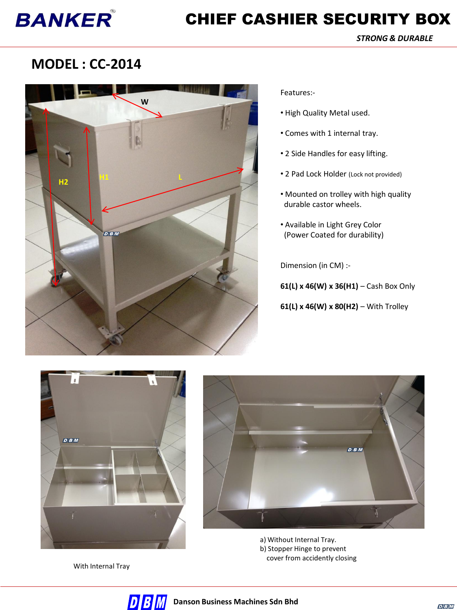## **BANKER**

### CHIEF CASHIER SECURITY BOX

*STRONG & DURABLE* 

#### **MODEL : CC-2014**



Features:-

- High Quality Metal used.
- Comes with 1 internal tray.
- 2 Side Handles for easy lifting.
- 2 Pad Lock Holder (Lock not provided)
- Mounted on trolley with high quality durable castor wheels.
- Available in Light Grey Color (Power Coated for durability)

Dimension (in CM) :-

**61(L) x 46(W) x 36(H1)** – Cash Box Only

**61(L) x 46(W) x 80(H2)** – With Trolley



With Internal Tray



a) Without Internal Tray. b) Stopper Hinge to prevent cover from accidently closing

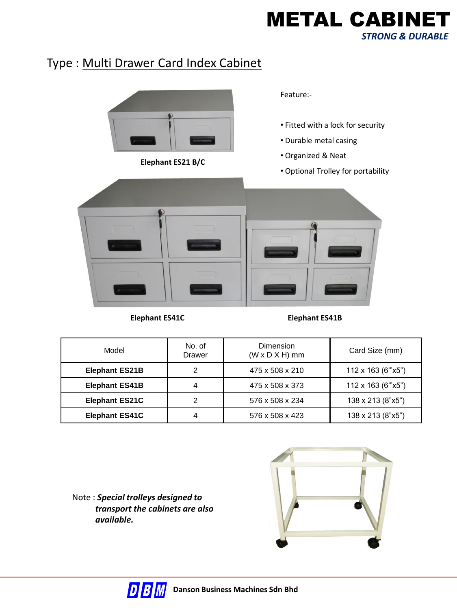### METAL CABINET *STRONG & DURABLE*

#### Type : Multi Drawer Card Index Cabinet



**Elephant ES21 B/C**

Feature:-

- Fitted with a lock for security
- Durable metal casing
- Organized & Neat
- Optional Trolley for portability



**Elephant ES41C Elephant ES41B**

| Model                 | No. of<br><b>Drawer</b> | Dimension<br>$(W \times D \times H)$ mm | Card Size (mm)    |
|-----------------------|-------------------------|-----------------------------------------|-------------------|
| <b>Elephant ES21B</b> | 2                       | 475 x 508 x 210                         | 112 x 163 (6"x5") |
| <b>Elephant ES41B</b> | 4                       | 475 x 508 x 373                         | 112 x 163 (6"x5") |
| <b>Elephant ES21C</b> | 2                       | 576 x 508 x 234                         | 138 x 213 (8"x5") |
| <b>Elephant ES41C</b> | 4                       | 576 x 508 x 423                         | 138 x 213 (8"x5") |

Note : *Special trolleys designed to transport the cabinets are also available.*